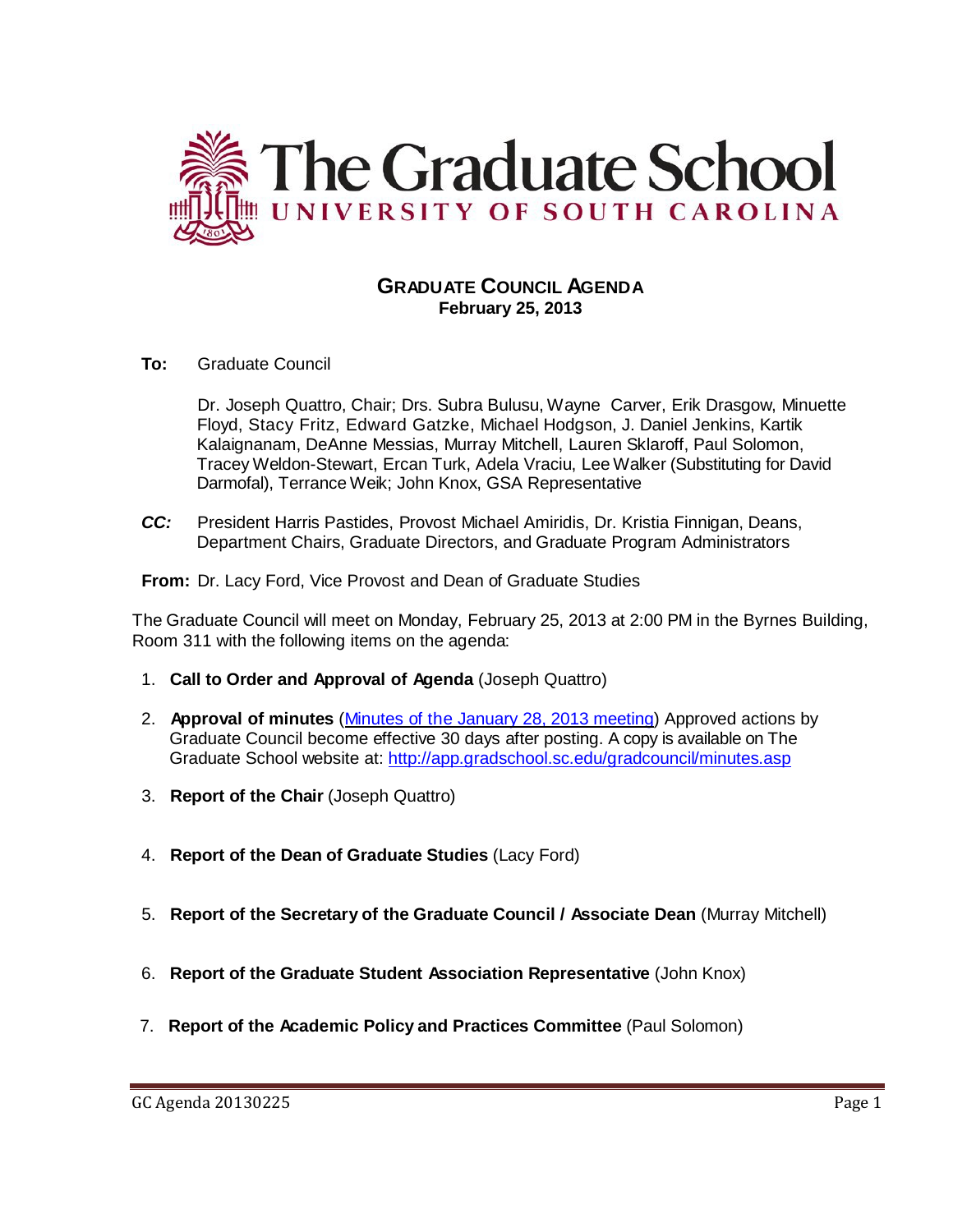

# **GRADUATE COUNCIL AGENDA February 25, 2013**

**To:** Graduate Council

Dr. Joseph Quattro, Chair; Drs. Subra Bulusu, Wayne Carver, Erik Drasgow, Minuette Floyd, Stacy Fritz, Edward Gatzke, Michael Hodgson, J. Daniel Jenkins, Kartik Kalaignanam, DeAnne Messias, Murray Mitchell, Lauren Sklaroff, Paul Solomon, Tracey Weldon-Stewart, Ercan Turk, Adela Vraciu, Lee Walker (Substituting for David Darmofal), Terrance Weik; John Knox, GSA Representative

*CC:* President Harris Pastides, Provost Michael Amiridis, Dr. Kristia Finnigan, Deans, Department Chairs, Graduate Directors, and Graduate Program Administrators

**From:** Dr. Lacy Ford, Vice Provost and Dean of Graduate Studies

The Graduate Council will meet on Monday, February 25, 2013 at 2:00 PM in the Byrnes Building, Room 311 with the following items on the agenda:

- 1. **Call to Order and Approval of Agenda** (Joseph Quattro)
- 2. **Approval of minutes** (Minutes of the January [28, 2013](http://gradschool.sc.edu/facstaff/gradcouncil/2012/Graduate%20Council%20Minutes%2020130128.pdf) meeting) Approved actions by Graduate Council become effective 30 days after posting. A copy is available on The Graduate School website at:<http://app.gradschool.sc.edu/gradcouncil/minutes.asp>
- 3. **Report of the Chair** (Joseph Quattro)
- 4. **Report of the Dean of Graduate Studies** (Lacy Ford)
- 5. **Report of the Secretary of the Graduate Council / Associate Dean** (Murray Mitchell)
- 6. **Report of the Graduate Student Association Representative** (John Knox)
- 7. **Report of the Academic Policy and Practices Committee** (Paul Solomon)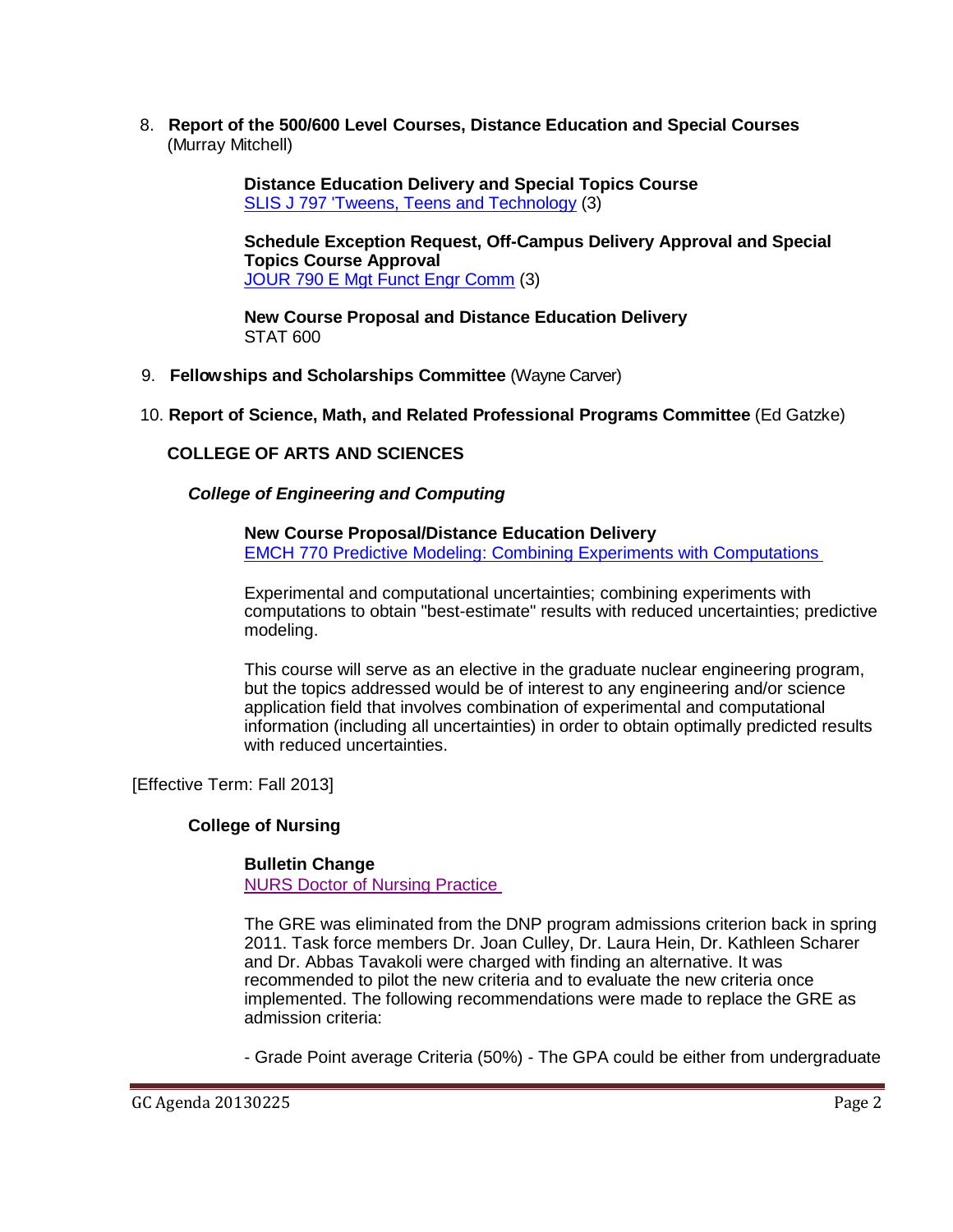8. **Report of the 500/600 Level Courses, Distance Education and Special Courses** (Murray Mitchell)

> **Distance Education Delivery and Special Topics Course**  [SLIS J 797 'Tweens, Teens and Technology](http://gradschool.sc.edu/facstaff/gradcouncil/2012/SLIS%20J%20797%20) (3)

**Schedule Exception Request, Off-Campus Delivery Approval and Special Topics Course Approval** JOUR 790 E [Mgt Funct Engr Comm](http://gradschool.sc.edu/facstaff/gradcouncil/2012/JOUR%20790%20E%20Mgt%20Funct%20Engr%20Comm%20SER%20OCD%20STC_Redacted.pdf) (3)

**New Course Proposal and Distance Education Delivery** STAT 600

9. **Fellowships and Scholarships Committee** (Wayne Carver)

## 10. **Report of Science, Math, and Related Professional Programs Committee** (Ed Gatzke)

## **COLLEGE OF ARTS AND SCIENCES**

*College of Engineering and Computing*

**New Course Proposal/Distance Education Delivery** [EMCH 770 Predictive Modeling: Combining Experiments with Computations](http://gradschool.sc.edu/facstaff/gradcouncil/2012/EMCH%20770%20Predictive%20Modeling%20Combining%20Experiments%20with%20Computations%20NCP%20DED_Redacted.pdf)

Experimental and computational uncertainties; combining experiments with computations to obtain "best-estimate" results with reduced uncertainties; predictive modeling.

This course will serve as an elective in the graduate nuclear engineering program, but the topics addressed would be of interest to any engineering and/or science application field that involves combination of experimental and computational information (including all uncertainties) in order to obtain optimally predicted results with reduced uncertainties.

[Effective Term: Fall 2013]

## **College of Nursing**

## **Bulletin Change**

[NURS Doctor of Nursing Practice](http://gradschool.sc.edu/facstaff/gradcouncil/2012/NURS%20DNP%20Bulletin%20Change_Redacted.pdf)

The GRE was eliminated from the DNP program admissions criterion back in spring 2011. Task force members Dr. Joan Culley, Dr. Laura Hein, Dr. Kathleen Scharer and Dr. Abbas Tavakoli were charged with finding an alternative. It was recommended to pilot the new criteria and to evaluate the new criteria once implemented. The following recommendations were made to replace the GRE as admission criteria:

- Grade Point average Criteria (50%) - The GPA could be either from undergraduate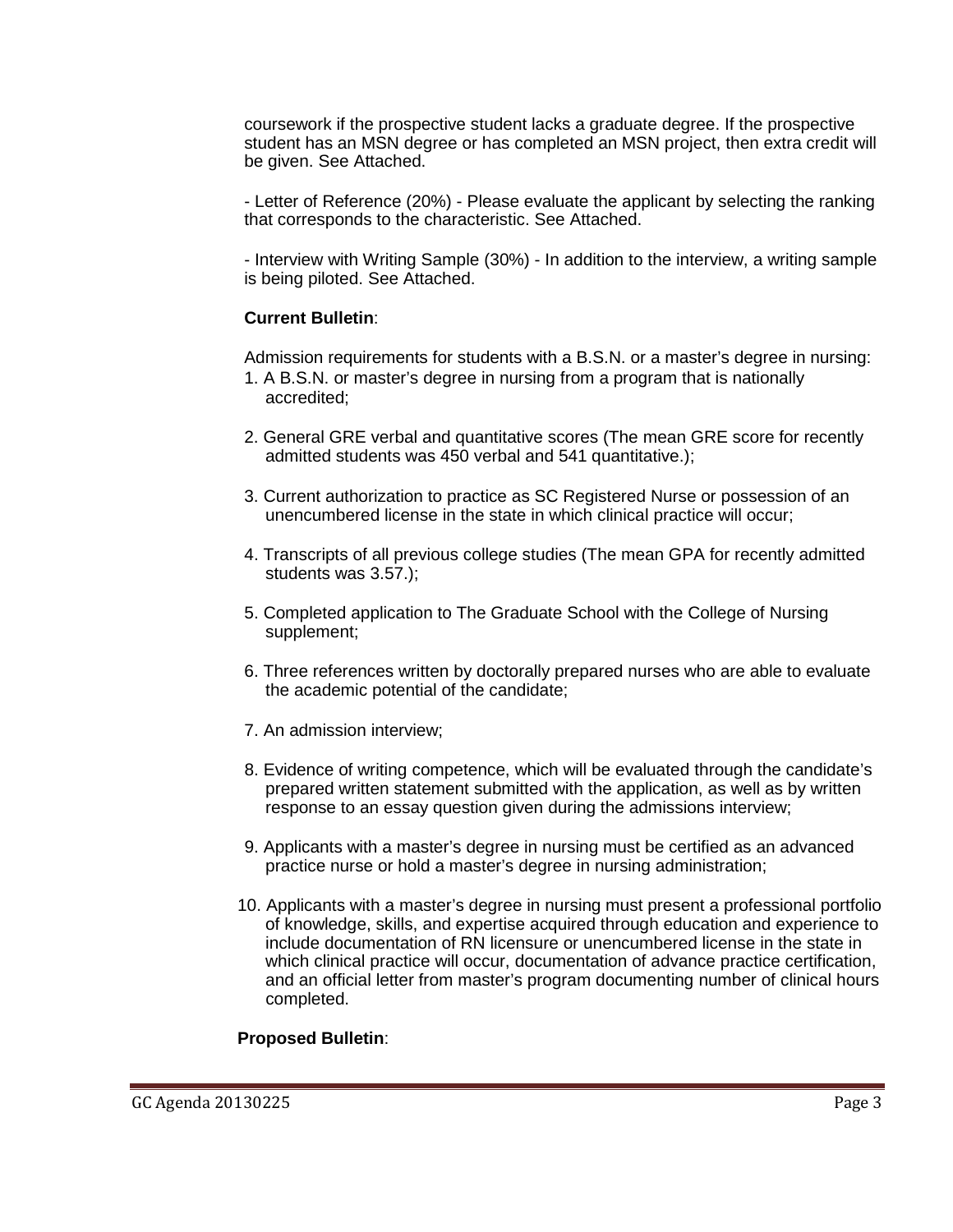coursework if the prospective student lacks a graduate degree. If the prospective student has an MSN degree or has completed an MSN project, then extra credit will be given. See Attached.

- Letter of Reference (20%) - Please evaluate the applicant by selecting the ranking that corresponds to the characteristic. See Attached.

- Interview with Writing Sample (30%) - In addition to the interview, a writing sample is being piloted. See Attached.

## **Current Bulletin**:

Admission requirements for students with a B.S.N. or a master's degree in nursing:

- 1. A B.S.N. or master's degree in nursing from a program that is nationally accredited;
- 2. General GRE verbal and quantitative scores (The mean GRE score for recently admitted students was 450 verbal and 541 quantitative.);
- 3. Current authorization to practice as SC Registered Nurse or possession of an unencumbered license in the state in which clinical practice will occur;
- 4. Transcripts of all previous college studies (The mean GPA for recently admitted students was 3.57.);
- 5. Completed application to The Graduate School with the College of Nursing supplement;
- 6. Three references written by doctorally prepared nurses who are able to evaluate the academic potential of the candidate;
- 7. An admission interview;
- 8. Evidence of writing competence, which will be evaluated through the candidate's prepared written statement submitted with the application, as well as by written response to an essay question given during the admissions interview;
- 9. Applicants with a master's degree in nursing must be certified as an advanced practice nurse or hold a master's degree in nursing administration;
- 10. Applicants with a master's degree in nursing must present a professional portfolio of knowledge, skills, and expertise acquired through education and experience to include documentation of RN licensure or unencumbered license in the state in which clinical practice will occur, documentation of advance practice certification, and an official letter from master's program documenting number of clinical hours completed.

## **Proposed Bulletin**: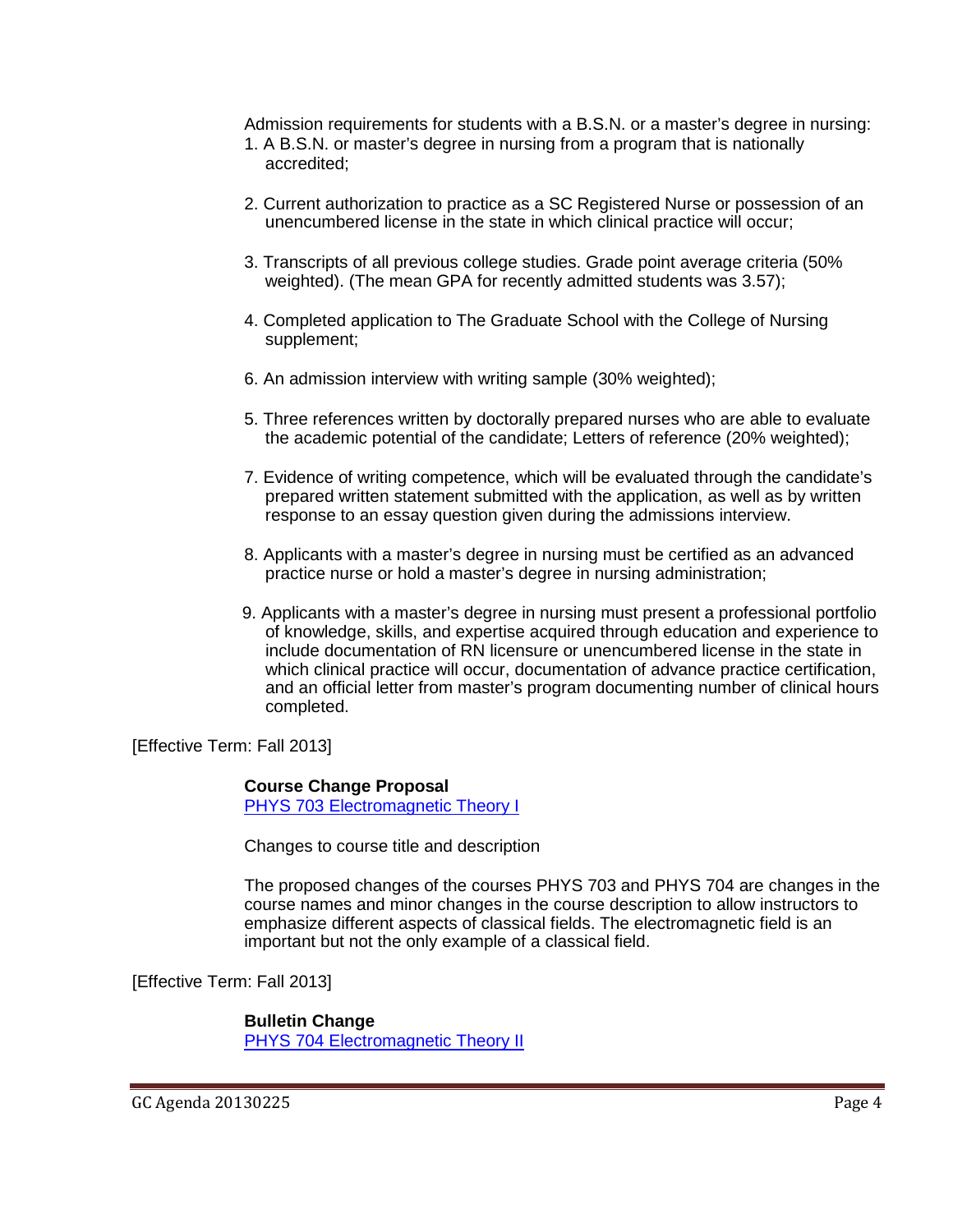Admission requirements for students with a B.S.N. or a master's degree in nursing:

- 1. A B.S.N. or master's degree in nursing from a program that is nationally accredited;
- 2. Current authorization to practice as a SC Registered Nurse or possession of an unencumbered license in the state in which clinical practice will occur;
- 3. Transcripts of all previous college studies. Grade point average criteria (50% weighted). (The mean GPA for recently admitted students was 3.57);
- 4. Completed application to The Graduate School with the College of Nursing supplement;
- 6. An admission interview with writing sample (30% weighted);
- 5. Three references written by doctorally prepared nurses who are able to evaluate the academic potential of the candidate; Letters of reference (20% weighted);
- 7. Evidence of writing competence, which will be evaluated through the candidate's prepared written statement submitted with the application, as well as by written response to an essay question given during the admissions interview.
- 8. Applicants with a master's degree in nursing must be certified as an advanced practice nurse or hold a master's degree in nursing administration;
- 9. Applicants with a master's degree in nursing must present a professional portfolio of knowledge, skills, and expertise acquired through education and experience to include documentation of RN licensure or unencumbered license in the state in which clinical practice will occur, documentation of advance practice certification, and an official letter from master's program documenting number of clinical hours completed.

[Effective Term: Fall 2013]

## **Course Change Proposal**

[PHYS 703 Electromagnetic Theory I](http://gradschool.sc.edu/facstaff/gradcouncil/2012/PHYS%20703%20Electromagnetic%20Theory%20I%20CCP%20u20130214.pdf)

Changes to course title and description

The proposed changes of the courses PHYS 703 and PHYS 704 are changes in the course names and minor changes in the course description to allow instructors to emphasize different aspects of classical fields. The electromagnetic field is an important but not the only example of a classical field.

[Effective Term: Fall 2013]

**Bulletin Change** [PHYS 704 Electromagnetic Theory II](http://gradschool.sc.edu/facstaff/gradcouncil/2012/PHYS%20704%20Electromagnetic%20Theory%20II%20CCP%20u20130214.pdf)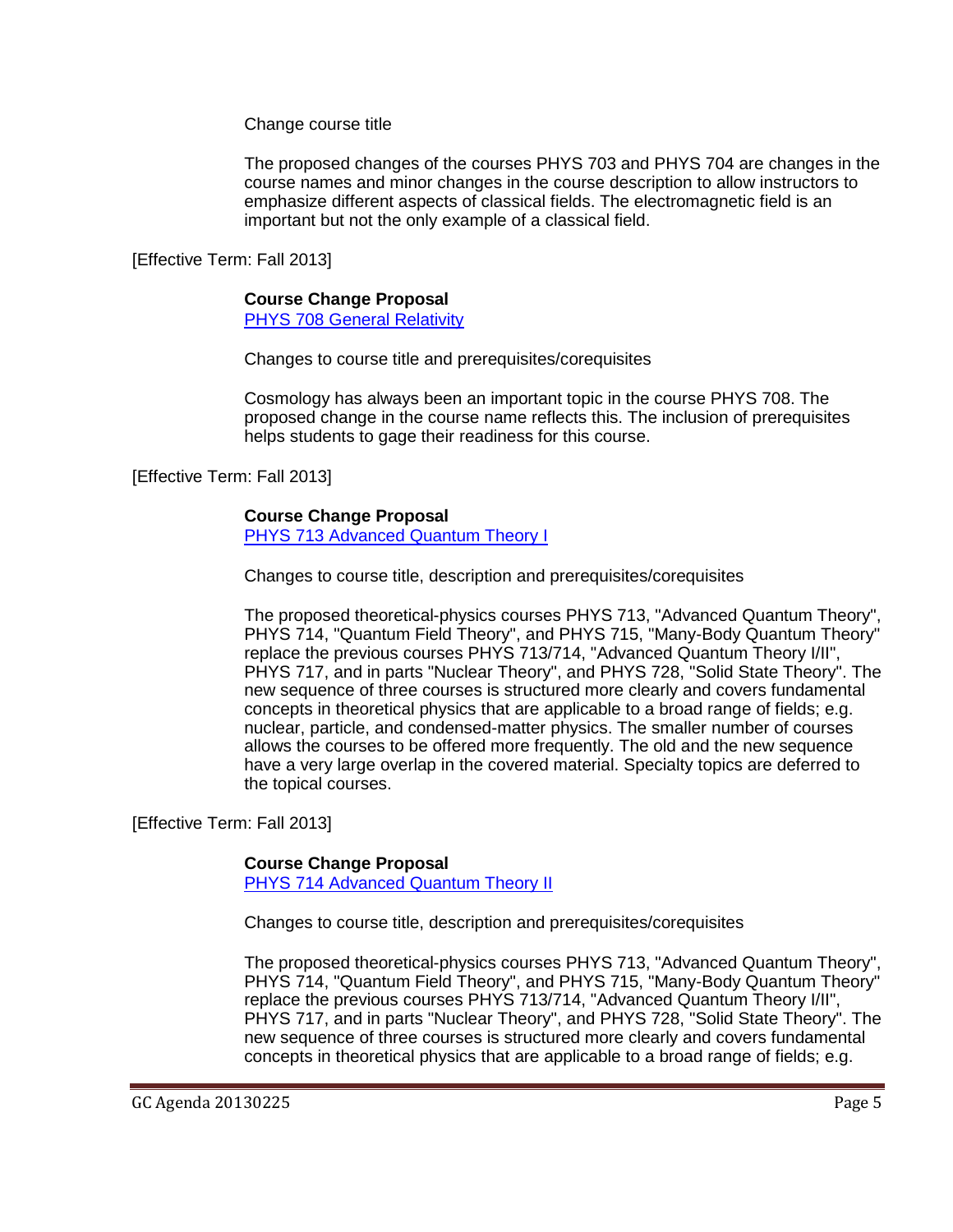Change course title

The proposed changes of the courses PHYS 703 and PHYS 704 are changes in the course names and minor changes in the course description to allow instructors to emphasize different aspects of classical fields. The electromagnetic field is an important but not the only example of a classical field.

[Effective Term: Fall 2013]

## **Course Change Proposal**

[PHYS 708 General Relativity](http://gradschool.sc.edu/facstaff/gradcouncil/2012/PHYS%20708%20General%20Relativity%20CCP%20u20130214.pdf)

Changes to course title and prerequisites/corequisites

Cosmology has always been an important topic in the course PHYS 708. The proposed change in the course name reflects this. The inclusion of prerequisites helps students to gage their readiness for this course.

[Effective Term: Fall 2013]

## **Course Change Proposal**

[PHYS 713 Advanced Quantum Theory I](http://gradschool.sc.edu/facstaff/gradcouncil/2012/PHYS%20713%20Advanced%20Quantum%20Theory%20I%20CCP%20u20130214.pdf)

Changes to course title, description and prerequisites/corequisites

The proposed theoretical-physics courses PHYS 713, "Advanced Quantum Theory", PHYS 714, "Quantum Field Theory", and PHYS 715, "Many-Body Quantum Theory" replace the previous courses PHYS 713/714, "Advanced Quantum Theory I/II", PHYS 717, and in parts "Nuclear Theory", and PHYS 728, "Solid State Theory". The new sequence of three courses is structured more clearly and covers fundamental concepts in theoretical physics that are applicable to a broad range of fields; e.g. nuclear, particle, and condensed-matter physics. The smaller number of courses allows the courses to be offered more frequently. The old and the new sequence have a very large overlap in the covered material. Specialty topics are deferred to the topical courses.

[Effective Term: Fall 2013]

# **Course Change Proposal**

[PHYS 714 Advanced Quantum Theory II](http://gradschool.sc.edu/facstaff/gradcouncil/2012/PHYS%20714%20Advanced%20Quantum%20Theory%20II%20CCP%20u20130214.pdf)

Changes to course title, description and prerequisites/corequisites

The proposed theoretical-physics courses PHYS 713, "Advanced Quantum Theory", PHYS 714, "Quantum Field Theory", and PHYS 715, "Many-Body Quantum Theory" replace the previous courses PHYS 713/714, "Advanced Quantum Theory I/II", PHYS 717, and in parts "Nuclear Theory", and PHYS 728, "Solid State Theory". The new sequence of three courses is structured more clearly and covers fundamental concepts in theoretical physics that are applicable to a broad range of fields; e.g.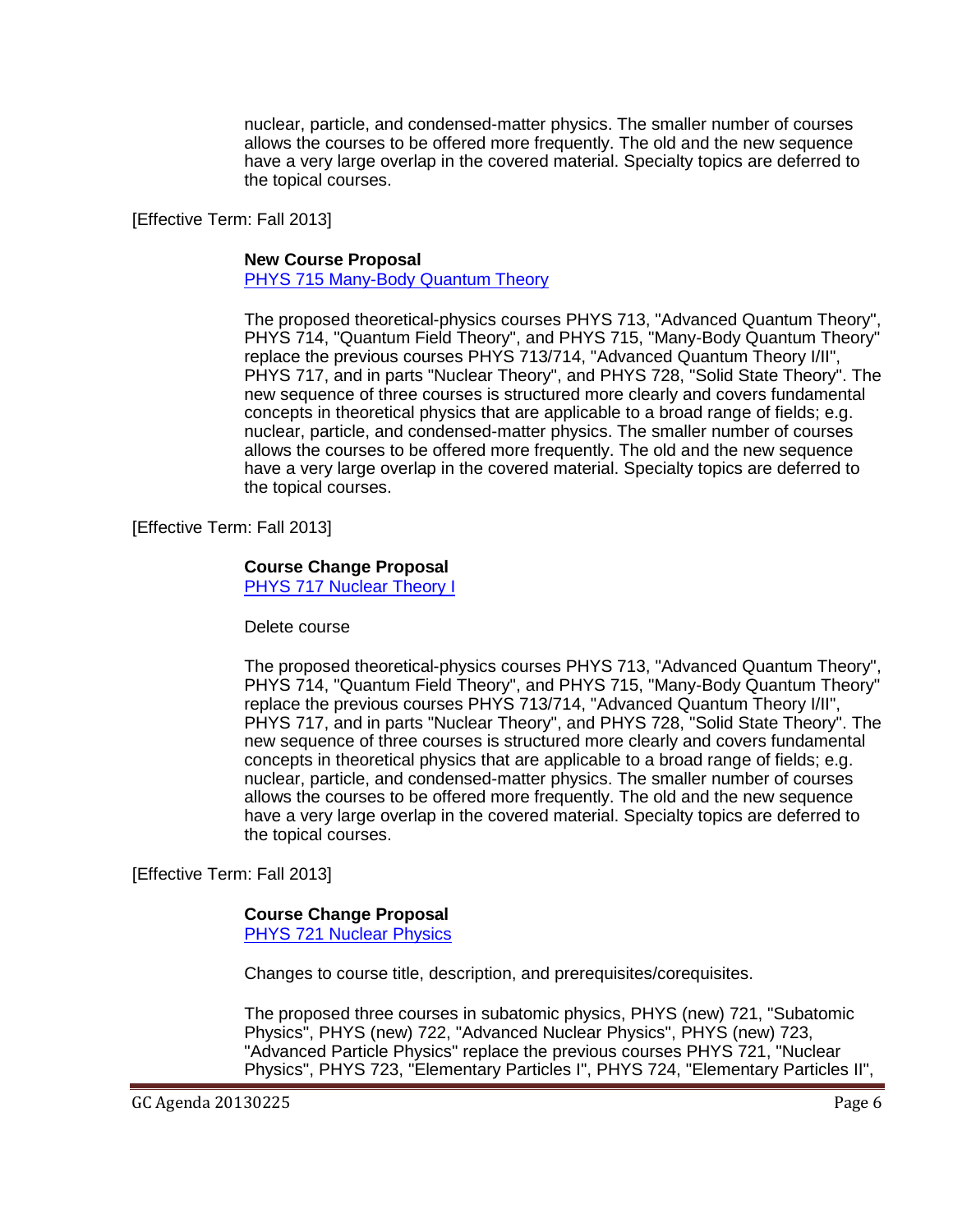nuclear, particle, and condensed-matter physics. The smaller number of courses allows the courses to be offered more frequently. The old and the new sequence have a very large overlap in the covered material. Specialty topics are deferred to the topical courses.

[Effective Term: Fall 2013]

#### **New Course Proposal**

[PHYS 715 Many-Body Quantum Theory](http://gradschool.sc.edu/facstaff/gradcouncil/2012/PHYS%20715%20Many-Body%20Quantum%20Theory%20NCP%20u20130214.pdf)

The proposed theoretical-physics courses PHYS 713, "Advanced Quantum Theory", PHYS 714, "Quantum Field Theory", and PHYS 715, "Many-Body Quantum Theory" replace the previous courses PHYS 713/714, "Advanced Quantum Theory I/II", PHYS 717, and in parts "Nuclear Theory", and PHYS 728, "Solid State Theory". The new sequence of three courses is structured more clearly and covers fundamental concepts in theoretical physics that are applicable to a broad range of fields; e.g. nuclear, particle, and condensed-matter physics. The smaller number of courses allows the courses to be offered more frequently. The old and the new sequence have a very large overlap in the covered material. Specialty topics are deferred to the topical courses.

[Effective Term: Fall 2013]

#### **Course Change Proposal**

[PHYS 717 Nuclear Theory I](http://gradschool.sc.edu/facstaff/gradcouncil/2012/PHYS%20717%20Nuclear%20Theory%20I%20CCP%20u20130214_Redacted.pdf)

Delete course

The proposed theoretical-physics courses PHYS 713, "Advanced Quantum Theory", PHYS 714, "Quantum Field Theory", and PHYS 715, "Many-Body Quantum Theory" replace the previous courses PHYS 713/714, "Advanced Quantum Theory I/II", PHYS 717, and in parts "Nuclear Theory", and PHYS 728, "Solid State Theory". The new sequence of three courses is structured more clearly and covers fundamental concepts in theoretical physics that are applicable to a broad range of fields; e.g. nuclear, particle, and condensed-matter physics. The smaller number of courses allows the courses to be offered more frequently. The old and the new sequence have a very large overlap in the covered material. Specialty topics are deferred to the topical courses.

[Effective Term: Fall 2013]

#### **Course Change Proposal**

PHYS 721 [Nuclear Physics](http://gradschool.sc.edu/facstaff/gradcouncil/2012/PHYS%20721%20Nuclear%20Physics%20CCP%20u%2020130214.pdf)

Changes to course title, description, and prerequisites/corequisites.

The proposed three courses in subatomic physics, PHYS (new) 721, "Subatomic Physics", PHYS (new) 722, "Advanced Nuclear Physics", PHYS (new) 723, "Advanced Particle Physics" replace the previous courses PHYS 721, "Nuclear Physics", PHYS 723, "Elementary Particles I", PHYS 724, "Elementary Particles II",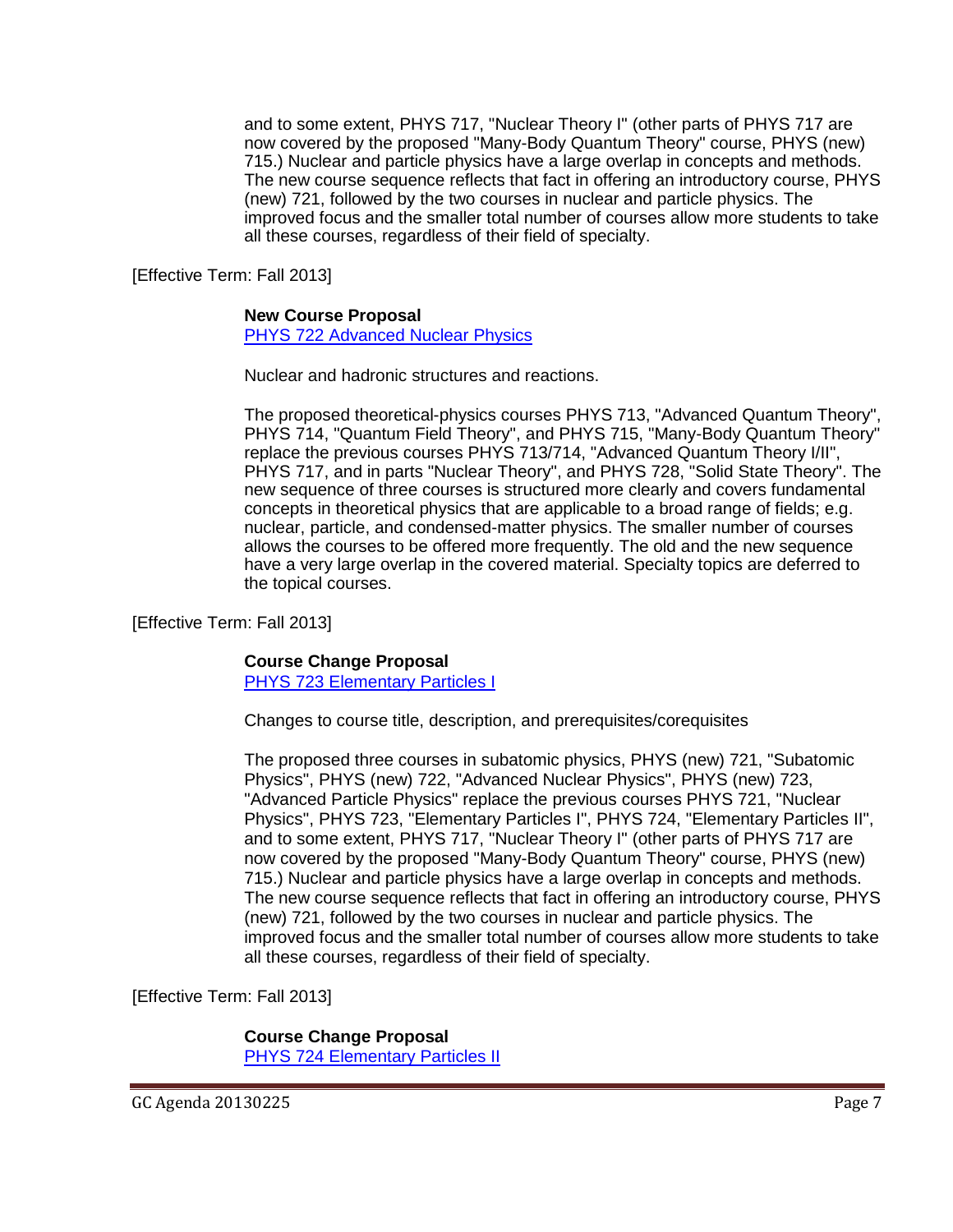and to some extent, PHYS 717, "Nuclear Theory I" (other parts of PHYS 717 are now covered by the proposed "Many-Body Quantum Theory" course, PHYS (new) 715.) Nuclear and particle physics have a large overlap in concepts and methods. The new course sequence reflects that fact in offering an introductory course, PHYS (new) 721, followed by the two courses in nuclear and particle physics. The improved focus and the smaller total number of courses allow more students to take all these courses, regardless of their field of specialty.

[Effective Term: Fall 2013]

## **New Course Proposal**

[PHYS 722 Advanced Nuclear Physics](http://gradschool.sc.edu/facstaff/gradcouncil/2012/PHYS%20722%20Advanced%20Nuclear%20Physics%20NCP%20u%2020130214.pdf)

Nuclear and hadronic structures and reactions.

The proposed theoretical-physics courses PHYS 713, "Advanced Quantum Theory", PHYS 714, "Quantum Field Theory", and PHYS 715, "Many-Body Quantum Theory" replace the previous courses PHYS 713/714, "Advanced Quantum Theory I/II", PHYS 717, and in parts "Nuclear Theory", and PHYS 728, "Solid State Theory". The new sequence of three courses is structured more clearly and covers fundamental concepts in theoretical physics that are applicable to a broad range of fields; e.g. nuclear, particle, and condensed-matter physics. The smaller number of courses allows the courses to be offered more frequently. The old and the new sequence have a very large overlap in the covered material. Specialty topics are deferred to the topical courses.

[Effective Term: Fall 2013]

## **Course Change Proposal**

[PHYS 723 Elementary Particles](http://gradschool.sc.edu/facstaff/gradcouncil/2012/PHYS%20723%20Elementary%20Particles%20I%20CCP.pdf) I

Changes to course title, description, and prerequisites/corequisites

The proposed three courses in subatomic physics, PHYS (new) 721, "Subatomic Physics", PHYS (new) 722, "Advanced Nuclear Physics", PHYS (new) 723, "Advanced Particle Physics" replace the previous courses PHYS 721, "Nuclear Physics", PHYS 723, "Elementary Particles I", PHYS 724, "Elementary Particles II", and to some extent, PHYS 717, "Nuclear Theory I" (other parts of PHYS 717 are now covered by the proposed "Many-Body Quantum Theory" course, PHYS (new) 715.) Nuclear and particle physics have a large overlap in concepts and methods. The new course sequence reflects that fact in offering an introductory course, PHYS (new) 721, followed by the two courses in nuclear and particle physics. The improved focus and the smaller total number of courses allow more students to take all these courses, regardless of their field of specialty.

[Effective Term: Fall 2013]

**Course Change Proposal** [PHYS 724 Elementary Particles](http://gradschool.sc.edu/facstaff/gradcouncil/2012/PHYS%20724%20Elementary%20Particles%20II%20CCP.pdf) II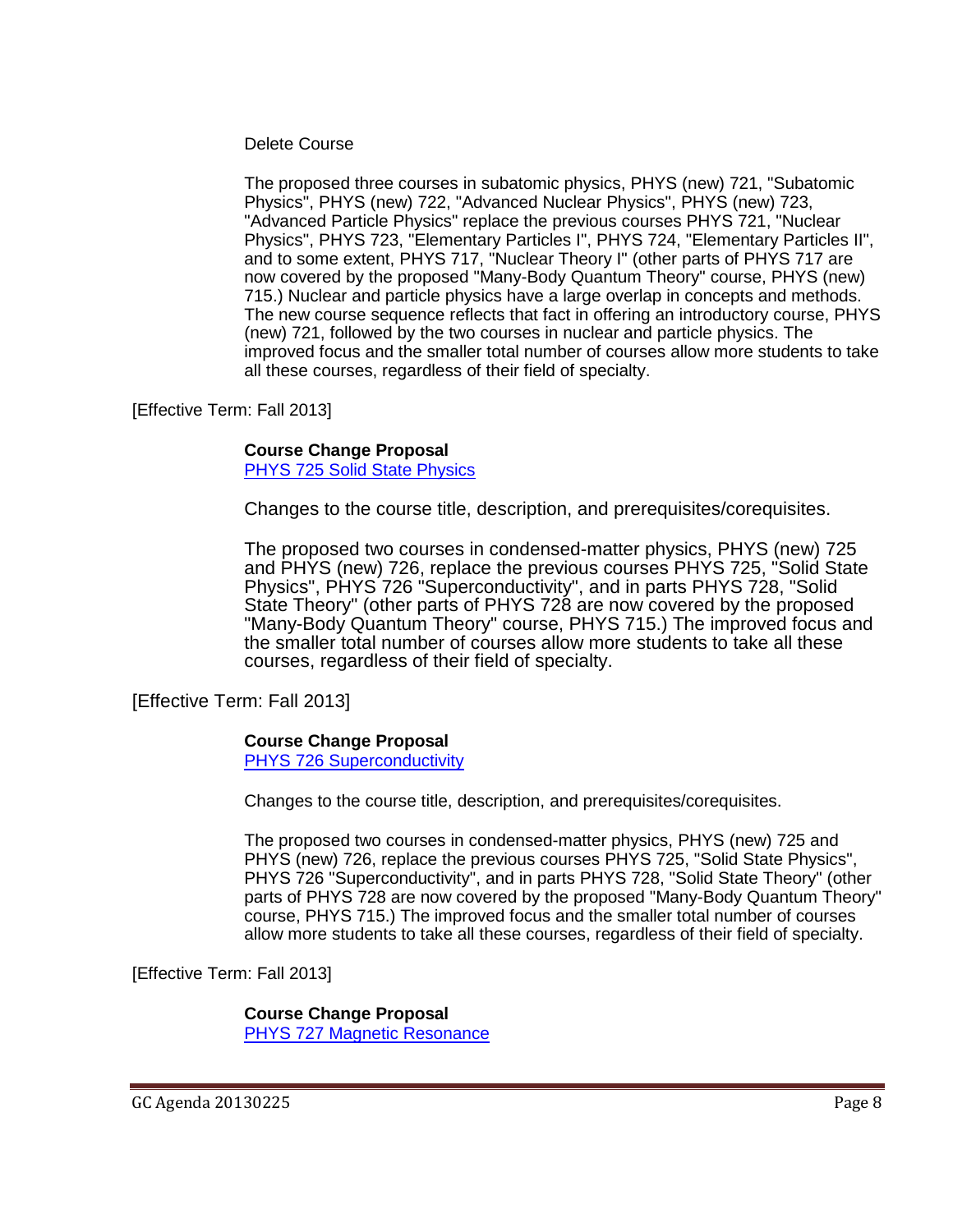## Delete Course

The proposed three courses in subatomic physics, PHYS (new) 721, "Subatomic Physics", PHYS (new) 722, "Advanced Nuclear Physics", PHYS (new) 723, "Advanced Particle Physics" replace the previous courses PHYS 721, "Nuclear Physics", PHYS 723, "Elementary Particles I", PHYS 724, "Elementary Particles II", and to some extent, PHYS 717, "Nuclear Theory I" (other parts of PHYS 717 are now covered by the proposed "Many-Body Quantum Theory" course, PHYS (new) 715.) Nuclear and particle physics have a large overlap in concepts and methods. The new course sequence reflects that fact in offering an introductory course, PHYS (new) 721, followed by the two courses in nuclear and particle physics. The improved focus and the smaller total number of courses allow more students to take all these courses, regardless of their field of specialty.

[Effective Term: Fall 2013]

## **Course Change Proposal**

[PHYS 725 Solid State Physics](http://gradschool.sc.edu/facstaff/gradcouncil/2012/PHYS%20725%20Solid%20State%20Physics%20CCP%20u20130214.pdf)

Changes to the course title, description, and prerequisites/corequisites.

The proposed two courses in condensed-matter physics, PHYS (new) 725 and PHYS (new) 726, replace the previous courses PHYS 725, "Solid State Physics", PHYS 726 "Superconductivity", and in parts PHYS 728, "Solid State Theory" (other parts of PHYS 728 are now covered by the proposed "Many-Body Quantum Theory" course, PHYS 715.) The improved focus and the smaller total number of courses allow more students to take all these courses, regardless of their field of specialty.

[Effective Term: Fall 2013]

# **Course Change Proposal**

PHYS [726 Superconductivity](http://gradschool.sc.edu/facstaff/gradcouncil/2012/PHYS%20726%20Superconductivity%20CCP%20u20130214.pdf)

Changes to the course title, description, and prerequisites/corequisites.

The proposed two courses in condensed-matter physics, PHYS (new) 725 and PHYS (new) 726, replace the previous courses PHYS 725, "Solid State Physics", PHYS 726 "Superconductivity", and in parts PHYS 728, "Solid State Theory" (other parts of PHYS 728 are now covered by the proposed "Many-Body Quantum Theory" course, PHYS 715.) The improved focus and the smaller total number of courses allow more students to take all these courses, regardless of their field of specialty.

[Effective Term: Fall 2013]

**Course Change Proposal** [PHYS 727 Magnetic Resonance](http://gradschool.sc.edu/facstaff/gradcouncil/2012/PHYS%20727%20Magnetic%20Resonance%20CCP%20u20130214.pdf)